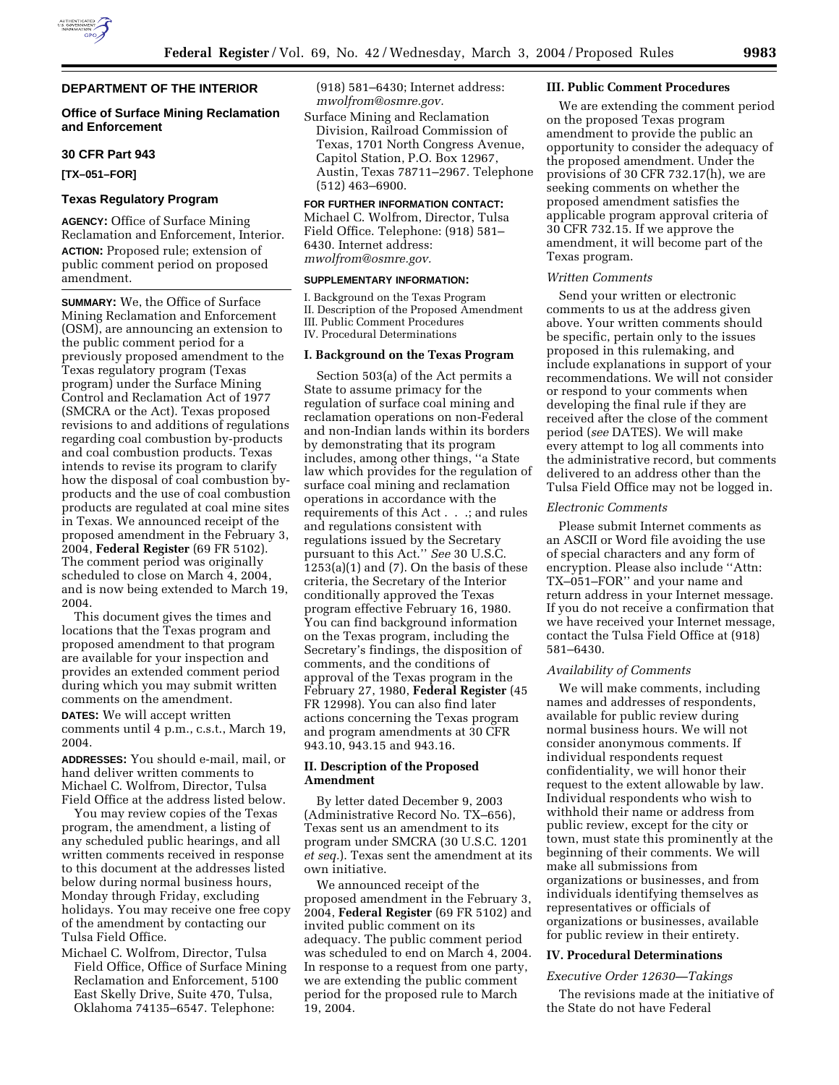# **DEPARTMENT OF THE INTERIOR**

# **Office of Surface Mining Reclamation and Enforcement**

### **30 CFR Part 943**

**[TX–051–FOR]** 

# **Texas Regulatory Program**

**AGENCY:** Office of Surface Mining Reclamation and Enforcement, Interior. **ACTION:** Proposed rule; extension of public comment period on proposed amendment.

**SUMMARY:** We, the Office of Surface Mining Reclamation and Enforcement (OSM), are announcing an extension to the public comment period for a previously proposed amendment to the Texas regulatory program (Texas program) under the Surface Mining Control and Reclamation Act of 1977 (SMCRA or the Act). Texas proposed revisions to and additions of regulations regarding coal combustion by-products and coal combustion products. Texas intends to revise its program to clarify how the disposal of coal combustion byproducts and the use of coal combustion products are regulated at coal mine sites in Texas. We announced receipt of the proposed amendment in the February 3, 2004, **Federal Register** (69 FR 5102). The comment period was originally scheduled to close on March 4, 2004, and is now being extended to March 19, 2004.

This document gives the times and locations that the Texas program and proposed amendment to that program are available for your inspection and provides an extended comment period during which you may submit written comments on the amendment.

**DATES:** We will accept written comments until 4 p.m., c.s.t., March 19, 2004.

**ADDRESSES:** You should e-mail, mail, or hand deliver written comments to Michael C. Wolfrom, Director, Tulsa Field Office at the address listed below.

You may review copies of the Texas program, the amendment, a listing of any scheduled public hearings, and all written comments received in response to this document at the addresses listed below during normal business hours, Monday through Friday, excluding holidays. You may receive one free copy of the amendment by contacting our Tulsa Field Office.

Michael C. Wolfrom, Director, Tulsa Field Office, Office of Surface Mining Reclamation and Enforcement, 5100 East Skelly Drive, Suite 470, Tulsa, Oklahoma 74135–6547. Telephone:

(918) 581–6430; Internet address: *mwolfrom@osmre.gov.*

Surface Mining and Reclamation Division, Railroad Commission of Texas, 1701 North Congress Avenue, Capitol Station, P.O. Box 12967, Austin, Texas 78711–2967. Telephone (512) 463–6900.

## **FOR FURTHER INFORMATION CONTACT:**

Michael C. Wolfrom, Director, Tulsa Field Office. Telephone: (918) 581– 6430. Internet address: *mwolfrom@osmre.gov.*

#### **SUPPLEMENTARY INFORMATION:**

I. Background on the Texas Program II. Description of the Proposed Amendment III. Public Comment Procedures IV. Procedural Determinations

## **I. Background on the Texas Program**

Section 503(a) of the Act permits a State to assume primacy for the regulation of surface coal mining and reclamation operations on non-Federal and non-Indian lands within its borders by demonstrating that its program includes, among other things, ''a State law which provides for the regulation of surface coal mining and reclamation operations in accordance with the requirements of this Act . . .; and rules and regulations consistent with regulations issued by the Secretary pursuant to this Act.'' *See* 30 U.S.C.  $1253(a)(1)$  and  $(7)$ . On the basis of these criteria, the Secretary of the Interior conditionally approved the Texas program effective February 16, 1980. You can find background information on the Texas program, including the Secretary's findings, the disposition of comments, and the conditions of approval of the Texas program in the February 27, 1980, **Federal Register** (45 FR 12998). You can also find later actions concerning the Texas program and program amendments at 30 CFR 943.10, 943.15 and 943.16.

# **II. Description of the Proposed Amendment**

By letter dated December 9, 2003 (Administrative Record No. TX–656), Texas sent us an amendment to its program under SMCRA (30 U.S.C. 1201 *et seq.*). Texas sent the amendment at its own initiative.

We announced receipt of the proposed amendment in the February 3, 2004, **Federal Register** (69 FR 5102) and invited public comment on its adequacy. The public comment period was scheduled to end on March 4, 2004. In response to a request from one party, we are extending the public comment period for the proposed rule to March 19, 2004.

#### **III. Public Comment Procedures**

We are extending the comment period on the proposed Texas program amendment to provide the public an opportunity to consider the adequacy of the proposed amendment. Under the provisions of 30 CFR 732.17(h), we are seeking comments on whether the proposed amendment satisfies the applicable program approval criteria of 30 CFR 732.15. If we approve the amendment, it will become part of the Texas program.

#### *Written Comments*

Send your written or electronic comments to us at the address given above. Your written comments should be specific, pertain only to the issues proposed in this rulemaking, and include explanations in support of your recommendations. We will not consider or respond to your comments when developing the final rule if they are received after the close of the comment period (*see* DATES). We will make every attempt to log all comments into the administrative record, but comments delivered to an address other than the Tulsa Field Office may not be logged in.

#### *Electronic Comments*

Please submit Internet comments as an ASCII or Word file avoiding the use of special characters and any form of encryption. Please also include ''Attn: TX–051–FOR'' and your name and return address in your Internet message. If you do not receive a confirmation that we have received your Internet message, contact the Tulsa Field Office at (918) 581–6430.

#### *Availability of Comments*

We will make comments, including names and addresses of respondents, available for public review during normal business hours. We will not consider anonymous comments. If individual respondents request confidentiality, we will honor their request to the extent allowable by law. Individual respondents who wish to withhold their name or address from public review, except for the city or town, must state this prominently at the beginning of their comments. We will make all submissions from organizations or businesses, and from individuals identifying themselves as representatives or officials of organizations or businesses, available for public review in their entirety.

### **IV. Procedural Determinations**

#### *Executive Order 12630—Takings*

The revisions made at the initiative of the State do not have Federal